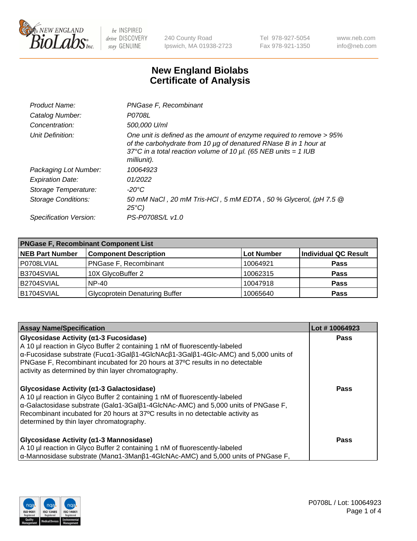

240 County Road Ipswich, MA 01938-2723 Tel 978-927-5054 Fax 978-921-1350 www.neb.com info@neb.com

## **New England Biolabs Certificate of Analysis**

| Product Name:           | PNGase F, Recombinant                                                                                                                                                                                                           |
|-------------------------|---------------------------------------------------------------------------------------------------------------------------------------------------------------------------------------------------------------------------------|
| Catalog Number:         | P0708L                                                                                                                                                                                                                          |
| Concentration:          | 500,000 U/ml                                                                                                                                                                                                                    |
| Unit Definition:        | One unit is defined as the amount of enzyme required to remove > 95%<br>of the carbohydrate from 10 µg of denatured RNase B in 1 hour at<br>37°C in a total reaction volume of 10 $\mu$ l. (65 NEB units = 1 IUB<br>milliunit). |
| Packaging Lot Number:   | 10064923                                                                                                                                                                                                                        |
| <b>Expiration Date:</b> | 01/2022                                                                                                                                                                                                                         |
| Storage Temperature:    | -20°C                                                                                                                                                                                                                           |
| Storage Conditions:     | 50 mM NaCl, 20 mM Tris-HCl, 5 mM EDTA, 50 % Glycerol, (pH 7.5 @<br>$25^{\circ}C$                                                                                                                                                |
| Specification Version:  | PS-P0708S/L v1.0                                                                                                                                                                                                                |

| <b>PNGase F, Recombinant Component List</b> |                                       |                   |                             |  |
|---------------------------------------------|---------------------------------------|-------------------|-----------------------------|--|
| <b>NEB Part Number</b>                      | <b>Component Description</b>          | <b>Lot Number</b> | <b>Individual QC Result</b> |  |
| P0708LVIAL                                  | <b>PNGase F, Recombinant</b>          | 10064921          | <b>Pass</b>                 |  |
| B3704SVIAL                                  | 10X GlycoBuffer 2                     | 10062315          | <b>Pass</b>                 |  |
| B2704SVIAL                                  | $NP-40$                               | 10047918          | <b>Pass</b>                 |  |
| B1704SVIAL                                  | <b>Glycoprotein Denaturing Buffer</b> | 10065640          | <b>Pass</b>                 |  |

| <b>Assay Name/Specification</b>                                                                                                                                                                                                                                                                                                                                       | Lot #10064923 |
|-----------------------------------------------------------------------------------------------------------------------------------------------------------------------------------------------------------------------------------------------------------------------------------------------------------------------------------------------------------------------|---------------|
| Glycosidase Activity (α1-3 Fucosidase)<br>A 10 µl reaction in Glyco Buffer 2 containing 1 nM of fluorescently-labeled<br>$\alpha$ -Fucosidase substrate (Fuc $\alpha$ 1-3Gal $\beta$ 1-4GlcNAc $\beta$ 1-3Gal $\beta$ 1-4Glc-AMC) and 5,000 units of                                                                                                                  | <b>Pass</b>   |
| PNGase F, Recombinant incubated for 20 hours at 37°C results in no detectable<br>activity as determined by thin layer chromatography.                                                                                                                                                                                                                                 |               |
| Glycosidase Activity (α1-3 Galactosidase)<br>A 10 µl reaction in Glyco Buffer 2 containing 1 nM of fluorescently-labeled<br>$\alpha$ -Galactosidase substrate (Gal $\alpha$ 1-3Gal $\beta$ 1-4GlcNAc-AMC) and 5,000 units of PNGase F,<br>Recombinant incubated for 20 hours at 37°C results in no detectable activity as<br>determined by thin layer chromatography. | <b>Pass</b>   |
| Glycosidase Activity (α1-3 Mannosidase)<br>A 10 µl reaction in Glyco Buffer 2 containing 1 nM of fluorescently-labeled<br>$\alpha$ -Mannosidase substrate (Man $\alpha$ 1-3Man $\beta$ 1-4GlcNAc-AMC) and 5,000 units of PNGase F,                                                                                                                                    | <b>Pass</b>   |

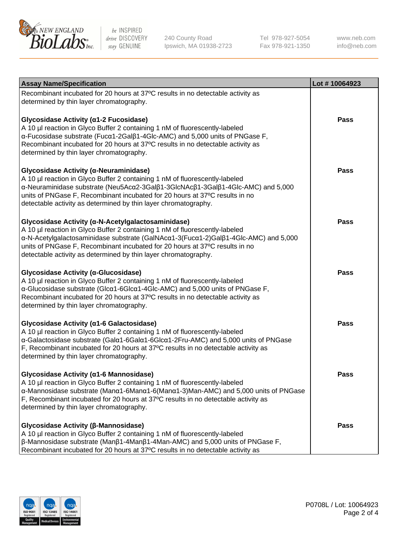

240 County Road Ipswich, MA 01938-2723 Tel 978-927-5054 Fax 978-921-1350

www.neb.com info@neb.com

| <b>Assay Name/Specification</b>                                                                                                                                                                                                                                                                                                                                            | Lot #10064923 |
|----------------------------------------------------------------------------------------------------------------------------------------------------------------------------------------------------------------------------------------------------------------------------------------------------------------------------------------------------------------------------|---------------|
| Recombinant incubated for 20 hours at 37°C results in no detectable activity as<br>determined by thin layer chromatography.                                                                                                                                                                                                                                                |               |
| Glycosidase Activity (α1-2 Fucosidase)<br>A 10 µl reaction in Glyco Buffer 2 containing 1 nM of fluorescently-labeled<br>α-Fucosidase substrate (Fucα1-2Galβ1-4Glc-AMC) and 5,000 units of PNGase F,<br>Recombinant incubated for 20 hours at 37°C results in no detectable activity as<br>determined by thin layer chromatography.                                        | <b>Pass</b>   |
| Glycosidase Activity (α-Neuraminidase)<br>A 10 µl reaction in Glyco Buffer 2 containing 1 nM of fluorescently-labeled<br>α-Neuraminidase substrate (Neu5Acα2-3Galβ1-3GlcNAcβ1-3Galβ1-4Glc-AMC) and 5,000<br>units of PNGase F, Recombinant incubated for 20 hours at 37°C results in no<br>detectable activity as determined by thin layer chromatography.                 | <b>Pass</b>   |
| Glycosidase Activity (α-N-Acetylgalactosaminidase)<br>A 10 µl reaction in Glyco Buffer 2 containing 1 nM of fluorescently-labeled<br>α-N-Acetylgalactosaminidase substrate (GalNAcα1-3(Fucα1-2)Galβ1-4Glc-AMC) and 5,000<br>units of PNGase F, Recombinant incubated for 20 hours at 37°C results in no<br>detectable activity as determined by thin layer chromatography. | <b>Pass</b>   |
| Glycosidase Activity (α-Glucosidase)<br>A 10 µl reaction in Glyco Buffer 2 containing 1 nM of fluorescently-labeled<br>α-Glucosidase substrate (Glcα1-6Glcα1-4Glc-AMC) and 5,000 units of PNGase F,<br>Recombinant incubated for 20 hours at 37°C results in no detectable activity as<br>determined by thin layer chromatography.                                         | Pass          |
| Glycosidase Activity (α1-6 Galactosidase)<br>A 10 µl reaction in Glyco Buffer 2 containing 1 nM of fluorescently-labeled<br>α-Galactosidase substrate (Galα1-6Galα1-6Glcα1-2Fru-AMC) and 5,000 units of PNGase<br>F, Recombinant incubated for 20 hours at 37°C results in no detectable activity as<br>determined by thin layer chromatography.                           | <b>Pass</b>   |
| Glycosidase Activity (α1-6 Mannosidase)<br>A 10 µl reaction in Glyco Buffer 2 containing 1 nM of fluorescently-labeled<br>α-Mannosidase substrate (Manα1-6Manα1-6(Manα1-3)Man-AMC) and 5,000 units of PNGase<br>F, Recombinant incubated for 20 hours at 37°C results in no detectable activity as<br>determined by thin layer chromatography.                             | Pass          |
| Glycosidase Activity (β-Mannosidase)<br>A 10 µl reaction in Glyco Buffer 2 containing 1 nM of fluorescently-labeled<br>$\beta$ -Mannosidase substrate (Man $\beta$ 1-4Man $\beta$ 1-4Man-AMC) and 5,000 units of PNGase F,<br>Recombinant incubated for 20 hours at 37°C results in no detectable activity as                                                              | Pass          |

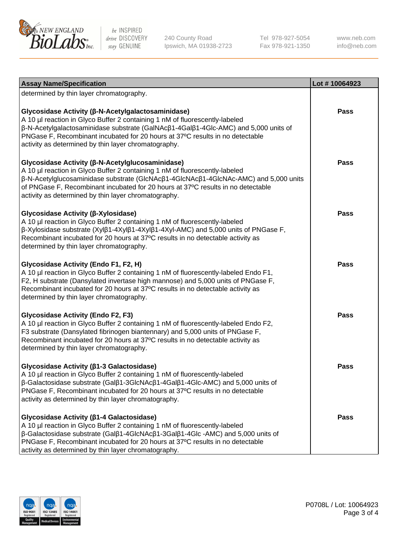

240 County Road Ipswich, MA 01938-2723 Tel 978-927-5054 Fax 978-921-1350

www.neb.com info@neb.com

| <b>Assay Name/Specification</b>                                                                                                                                                                                                                                                                                                                                     | Lot #10064923 |
|---------------------------------------------------------------------------------------------------------------------------------------------------------------------------------------------------------------------------------------------------------------------------------------------------------------------------------------------------------------------|---------------|
| determined by thin layer chromatography.                                                                                                                                                                                                                                                                                                                            |               |
| Glycosidase Activity (β-N-Acetylgalactosaminidase)<br>A 10 µl reaction in Glyco Buffer 2 containing 1 nM of fluorescently-labeled<br>β-N-Acetylgalactosaminidase substrate (GalNAcβ1-4Galβ1-4Glc-AMC) and 5,000 units of<br>PNGase F, Recombinant incubated for 20 hours at 37°C results in no detectable<br>activity as determined by thin layer chromatography.   | <b>Pass</b>   |
| Glycosidase Activity (β-N-Acetylglucosaminidase)<br>A 10 µl reaction in Glyco Buffer 2 containing 1 nM of fluorescently-labeled<br>β-N-Acetylglucosaminidase substrate (GlcNAcβ1-4GlcNAcβ1-4GlcNAc-AMC) and 5,000 units<br>of PNGase F, Recombinant incubated for 20 hours at 37°C results in no detectable<br>activity as determined by thin layer chromatography. | <b>Pass</b>   |
| Glycosidase Activity (β-Xylosidase)<br>A 10 µl reaction in Glyco Buffer 2 containing 1 nM of fluorescently-labeled<br>β-Xylosidase substrate (Xylβ1-4Xylβ1-4Xylβ1-4Xyl-AMC) and 5,000 units of PNGase F,<br>Recombinant incubated for 20 hours at 37°C results in no detectable activity as<br>determined by thin layer chromatography.                             | <b>Pass</b>   |
| Glycosidase Activity (Endo F1, F2, H)<br>A 10 µl reaction in Glyco Buffer 2 containing 1 nM of fluorescently-labeled Endo F1,<br>F2, H substrate (Dansylated invertase high mannose) and 5,000 units of PNGase F,<br>Recombinant incubated for 20 hours at 37°C results in no detectable activity as<br>determined by thin layer chromatography.                    | <b>Pass</b>   |
| <b>Glycosidase Activity (Endo F2, F3)</b><br>A 10 µl reaction in Glyco Buffer 2 containing 1 nM of fluorescently-labeled Endo F2,<br>F3 substrate (Dansylated fibrinogen biantennary) and 5,000 units of PNGase F,<br>Recombinant incubated for 20 hours at 37°C results in no detectable activity as<br>determined by thin layer chromatography.                   | <b>Pass</b>   |
| Glycosidase Activity (β1-3 Galactosidase)<br>A 10 µl reaction in Glyco Buffer 2 containing 1 nM of fluorescently-labeled<br>β-Galactosidase substrate (Galβ1-3GlcNAcβ1-4Galβ1-4Glc-AMC) and 5,000 units of<br>PNGase F, Recombinant incubated for 20 hours at 37°C results in no detectable<br>activity as determined by thin layer chromatography.                 | Pass          |
| Glycosidase Activity (ß1-4 Galactosidase)<br>A 10 µl reaction in Glyco Buffer 2 containing 1 nM of fluorescently-labeled<br>β-Galactosidase substrate (Galβ1-4GlcNAcβ1-3Galβ1-4Glc -AMC) and 5,000 units of<br>PNGase F, Recombinant incubated for 20 hours at 37°C results in no detectable<br>activity as determined by thin layer chromatography.                | Pass          |